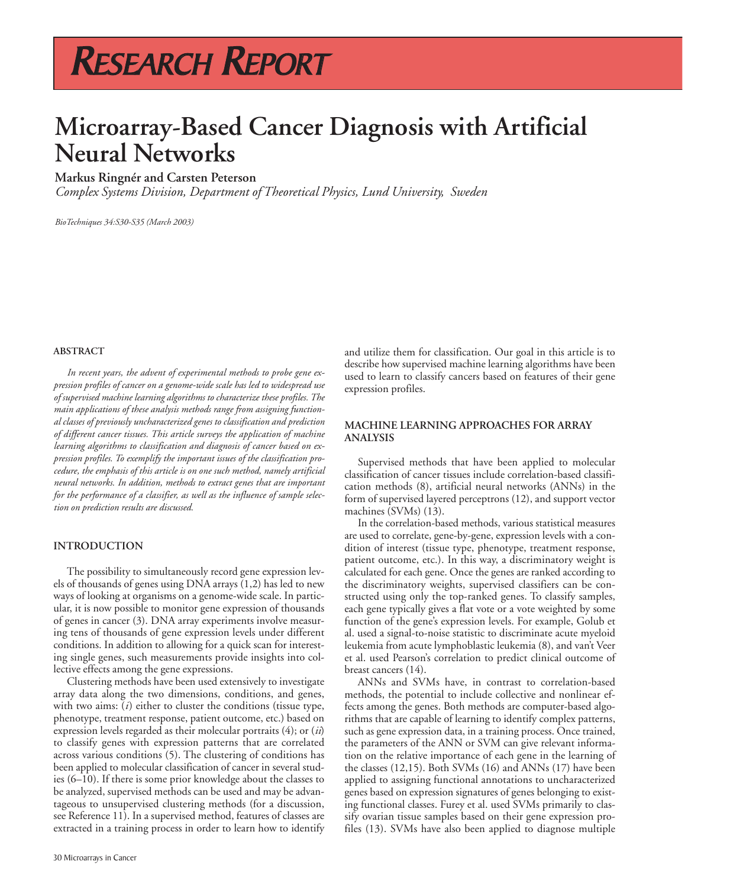## RESEARCH REPORT

### **Microarray-Based Cancer Diagnosis with Artificial Neural Networks**

### **Markus Ringnér and Carsten Peterson**

*Complex Systems Division, Department of Theoretical Physics, Lund University, Sweden*

*BioTechniques 34:S30-S35 (March 2003)*

### **ABSTRACT**

*In recent years, the advent of experimental methods to probe gene expression profiles of cancer on a genome-wide scale has led to widespread use of supervised machine learning algorithms to characterize these profiles. The main applications of these analysis methods range from assigning functional classes of previously uncharacterized genes to classification and prediction of different cancer tissues. This article surveys the application of machine learning algorithms to classification and diagnosis of cancer based on expression profiles. To exemplify the important issues of the classification procedure, the emphasis of this article is on one such method, namely artificial neural networks. In addition, methods to extract genes that are important for the performance of a classifier, as well as the influence of sample selection on prediction results are discussed.*

#### **INTRODUCTION**

The possibility to simultaneously record gene expression levels of thousands of genes using DNA arrays (1,2) has led to new ways of looking at organisms on a genome-wide scale. In particular, it is now possible to monitor gene expression of thousands of genes in cancer (3). DNA array experiments involve measuring tens of thousands of gene expression levels under different conditions. In addition to allowing for a quick scan for interesting single genes, such measurements provide insights into collective effects among the gene expressions.

Clustering methods have been used extensively to investigate array data along the two dimensions, conditions, and genes, with two aims: (*i*) either to cluster the conditions (tissue type, phenotype, treatment response, patient outcome, etc.) based on expression levels regarded as their molecular portraits (4); or (*ii*) to classify genes with expression patterns that are correlated across various conditions (5). The clustering of conditions has been applied to molecular classification of cancer in several studies (6–10). If there is some prior knowledge about the classes to be analyzed, supervised methods can be used and may be advantageous to unsupervised clustering methods (for a discussion, see Reference 11). In a supervised method, features of classes are extracted in a training process in order to learn how to identify

and utilize them for classification. Our goal in this article is to describe how supervised machine learning algorithms have been used to learn to classify cancers based on features of their gene expression profiles.

### **MACHINE LEARNING APPROACHES FOR ARRAY ANALYSIS**

Supervised methods that have been applied to molecular classification of cancer tissues include correlation-based classification methods (8), artificial neural networks (ANNs) in the form of supervised layered perceptrons (12), and support vector machines (SVMs) (13).

In the correlation-based methods, various statistical measures are used to correlate, gene-by-gene, expression levels with a condition of interest (tissue type, phenotype, treatment response, patient outcome, etc.). In this way, a discriminatory weight is calculated for each gene. Once the genes are ranked according to the discriminatory weights, supervised classifiers can be constructed using only the top-ranked genes. To classify samples, each gene typically gives a flat vote or a vote weighted by some function of the gene's expression levels. For example, Golub et al. used a signal-to-noise statistic to discriminate acute myeloid leukemia from acute lymphoblastic leukemia (8), and van't Veer et al. used Pearson's correlation to predict clinical outcome of breast cancers (14).

ANNs and SVMs have, in contrast to correlation-based methods, the potential to include collective and nonlinear effects among the genes. Both methods are computer-based algorithms that are capable of learning to identify complex patterns, such as gene expression data, in a training process. Once trained, the parameters of the ANN or SVM can give relevant information on the relative importance of each gene in the learning of the classes (12,15). Both SVMs (16) and ANNs (17) have been applied to assigning functional annotations to uncharacterized genes based on expression signatures of genes belonging to existing functional classes. Furey et al. used SVMs primarily to classify ovarian tissue samples based on their gene expression profiles (13). SVMs have also been applied to diagnose multiple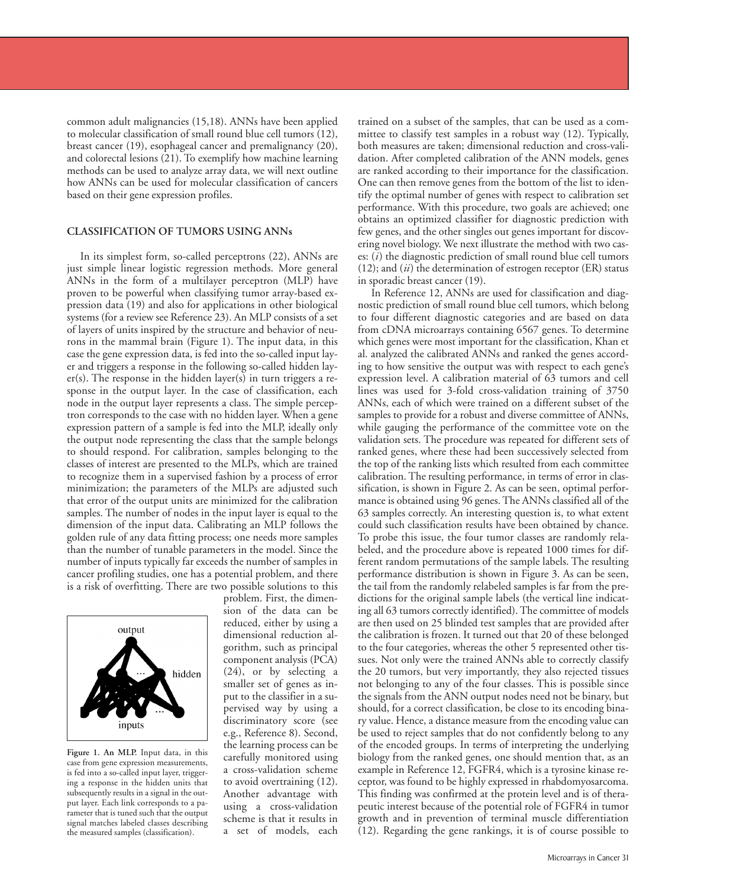common adult malignancies (15,18). ANNs have been applied to molecular classification of small round blue cell tumors (12), breast cancer (19), esophageal cancer and premalignancy (20), and colorectal lesions (21). To exemplify how machine learning methods can be used to analyze array data, we will next outline how ANNs can be used for molecular classification of cancers based on their gene expression profiles.

### **CLASSIFICATION OF TUMORS USING ANNs**

In its simplest form, so-called perceptrons (22), ANNs are just simple linear logistic regression methods. More general ANNs in the form of a multilayer perceptron (MLP) have proven to be powerful when classifying tumor array-based expression data (19) and also for applications in other biological systems (for a review see Reference 23). An MLP consists of a set of layers of units inspired by the structure and behavior of neurons in the mammal brain (Figure 1). The input data, in this case the gene expression data, is fed into the so-called input layer and triggers a response in the following so-called hidden layer(s). The response in the hidden layer(s) in turn triggers a response in the output layer. In the case of classification, each node in the output layer represents a class. The simple perceptron corresponds to the case with no hidden layer. When a gene expression pattern of a sample is fed into the MLP, ideally only the output node representing the class that the sample belongs to should respond. For calibration, samples belonging to the classes of interest are presented to the MLPs, which are trained to recognize them in a supervised fashion by a process of error minimization; the parameters of the MLPs are adjusted such that error of the output units are minimized for the calibration samples. The number of nodes in the input layer is equal to the dimension of the input data. Calibrating an MLP follows the golden rule of any data fitting process; one needs more samples than the number of tunable parameters in the model. Since the number of inputs typically far exceeds the number of samples in cancer profiling studies, one has a potential problem, and there is a risk of overfitting. There are two possible solutions to this



**Figure 1. An MLP.** Input data, in this case from gene expression measurements, is fed into a so-called input layer, triggering a response in the hidden units that subsequently results in a signal in the output layer. Each link corresponds to a parameter that is tuned such that the output signal matches labeled classes describing the measured samples (classification).

problem. First, the dimension of the data can be reduced, either by using a dimensional reduction algorithm, such as principal component analysis (PCA) (24), or by selecting a smaller set of genes as input to the classifier in a supervised way by using a discriminatory score (see e.g., Reference 8). Second, the learning process can be carefully monitored using a cross-validation scheme to avoid overtraining (12). Another advantage with using a cross-validation scheme is that it results in a set of models, each

trained on a subset of the samples, that can be used as a committee to classify test samples in a robust way (12). Typically, both measures are taken; dimensional reduction and cross-validation. After completed calibration of the ANN models, genes are ranked according to their importance for the classification. One can then remove genes from the bottom of the list to identify the optimal number of genes with respect to calibration set performance. With this procedure, two goals are achieved; one obtains an optimized classifier for diagnostic prediction with few genes, and the other singles out genes important for discovering novel biology. We next illustrate the method with two cases: (*i*) the diagnostic prediction of small round blue cell tumors (12); and (*ii*) the determination of estrogen receptor (ER) status in sporadic breast cancer (19).

In Reference 12, ANNs are used for classification and diagnostic prediction of small round blue cell tumors, which belong to four different diagnostic categories and are based on data from cDNA microarrays containing 6567 genes. To determine which genes were most important for the classification, Khan et al. analyzed the calibrated ANNs and ranked the genes according to how sensitive the output was with respect to each gene's expression level. A calibration material of 63 tumors and cell lines was used for 3-fold cross-validation training of 3750 ANNs, each of which were trained on a different subset of the samples to provide for a robust and diverse committee of ANNs, while gauging the performance of the committee vote on the validation sets. The procedure was repeated for different sets of ranked genes, where these had been successively selected from the top of the ranking lists which resulted from each committee calibration. The resulting performance, in terms of error in classification, is shown in Figure 2. As can be seen, optimal performance is obtained using 96 genes. The ANNs classified all of the 63 samples correctly. An interesting question is, to what extent could such classification results have been obtained by chance. To probe this issue, the four tumor classes are randomly relabeled, and the procedure above is repeated 1000 times for different random permutations of the sample labels. The resulting performance distribution is shown in Figure 3. As can be seen, the tail from the randomly relabeled samples is far from the predictions for the original sample labels (the vertical line indicating all 63 tumors correctly identified). The committee of models are then used on 25 blinded test samples that are provided after the calibration is frozen. It turned out that 20 of these belonged to the four categories, whereas the other 5 represented other tissues. Not only were the trained ANNs able to correctly classify the 20 tumors, but very importantly, they also rejected tissues not belonging to any of the four classes. This is possible since the signals from the ANN output nodes need not be binary, but should, for a correct classification, be close to its encoding binary value. Hence, a distance measure from the encoding value can be used to reject samples that do not confidently belong to any of the encoded groups. In terms of interpreting the underlying biology from the ranked genes, one should mention that, as an example in Reference 12, FGFR4, which is a tyrosine kinase receptor, was found to be highly expressed in rhabdomyosarcoma. This finding was confirmed at the protein level and is of therapeutic interest because of the potential role of FGFR4 in tumor growth and in prevention of terminal muscle differentiation (12). Regarding the gene rankings, it is of course possible to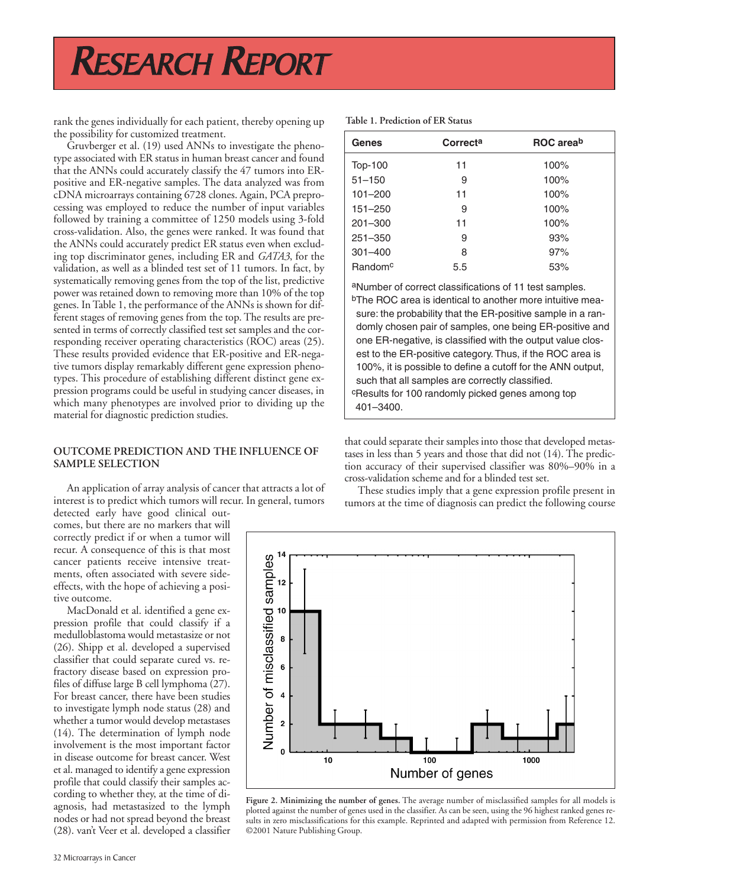# RESEARCH REPORT

rank the genes individually for each patient, thereby opening up the possibility for customized treatment.

Gruvberger et al. (19) used ANNs to investigate the phenotype associated with ER status in human breast cancer and found that the ANNs could accurately classify the 47 tumors into ERpositive and ER-negative samples. The data analyzed was from cDNA microarrays containing 6728 clones. Again, PCA preprocessing was employed to reduce the number of input variables followed by training a committee of 1250 models using 3-fold cross-validation. Also, the genes were ranked. It was found that the ANNs could accurately predict ER status even when excluding top discriminator genes, including ER and *GATA3*, for the validation, as well as a blinded test set of 11 tumors. In fact, by systematically removing genes from the top of the list, predictive power was retained down to removing more than 10% of the top genes. In Table 1, the performance of the ANNs is shown for different stages of removing genes from the top. The results are presented in terms of correctly classified test set samples and the corresponding receiver operating characteristics (ROC) areas (25). These results provided evidence that ER-positive and ER-negative tumors display remarkably different gene expression phenotypes. This procedure of establishing different distinct gene expression programs could be useful in studying cancer diseases, in which many phenotypes are involved prior to dividing up the material for diagnostic prediction studies.

### **OUTCOME PREDICTION AND THE INFLUENCE OF SAMPLE SELECTION**

An application of array analysis of cancer that attracts a lot of interest is to predict which tumors will recur. In general, tumors detected early have good clinical out-

comes, but there are no markers that will correctly predict if or when a tumor will recur. A consequence of this is that most cancer patients receive intensive treatments, often associated with severe sideeffects, with the hope of achieving a positive outcome.

MacDonald et al. identified a gene expression profile that could classify if a medulloblastoma would metastasize or not (26). Shipp et al. developed a supervised classifier that could separate cured vs. refractory disease based on expression profiles of diffuse large B cell lymphoma (27). For breast cancer, there have been studies to investigate lymph node status (28) and whether a tumor would develop metastases (14). The determination of lymph node involvement is the most important factor in disease outcome for breast cancer. West et al. managed to identify a gene expression profile that could classify their samples according to whether they, at the time of diagnosis, had metastasized to the lymph nodes or had not spread beyond the breast (28). van't Veer et al. developed a classifier

| Genes               | Correcta | ROC areab |
|---------------------|----------|-----------|
| <b>Top-100</b>      | 11       | 100%      |
| $51 - 150$          | 9        | 100%      |
| $101 - 200$         | 11       | 100%      |
| $151 - 250$         | 9        | 100%      |
| $201 - 300$         | 11       | 100%      |
| $251 - 350$         | 9        | 93%       |
| $301 - 400$         | 8        | 97%       |
| Random <sup>c</sup> | 5.5      | 53%       |

aNumber of correct classifications of 11 test samples. bThe ROC area is identical to another more intuitive measure: the probability that the ER-positive sample in a randomly chosen pair of samples, one being ER-positive and one ER-negative, is classified with the output value closest to the ER-positive category. Thus, if the ROC area is 100%, it is possible to define a cutoff for the ANN output, such that all samples are correctly classified. cResults for 100 randomly picked genes among top 401–3400.

that could separate their samples into those that developed metastases in less than 5 years and those that did not (14). The prediction accuracy of their supervised classifier was 80%–90% in a cross-validation scheme and for a blinded test set.

These studies imply that a gene expression profile present in tumors at the time of diagnosis can predict the following course



**Figure 2. Minimizing the number of genes.** The average number of misclassified samples for all models is plotted against the number of genes used in the classifier. As can be seen, using the 96 highest ranked genes results in zero misclassifications for this example. Reprinted and adapted with permission from Reference 12. ©2001 Nature Publishing Group.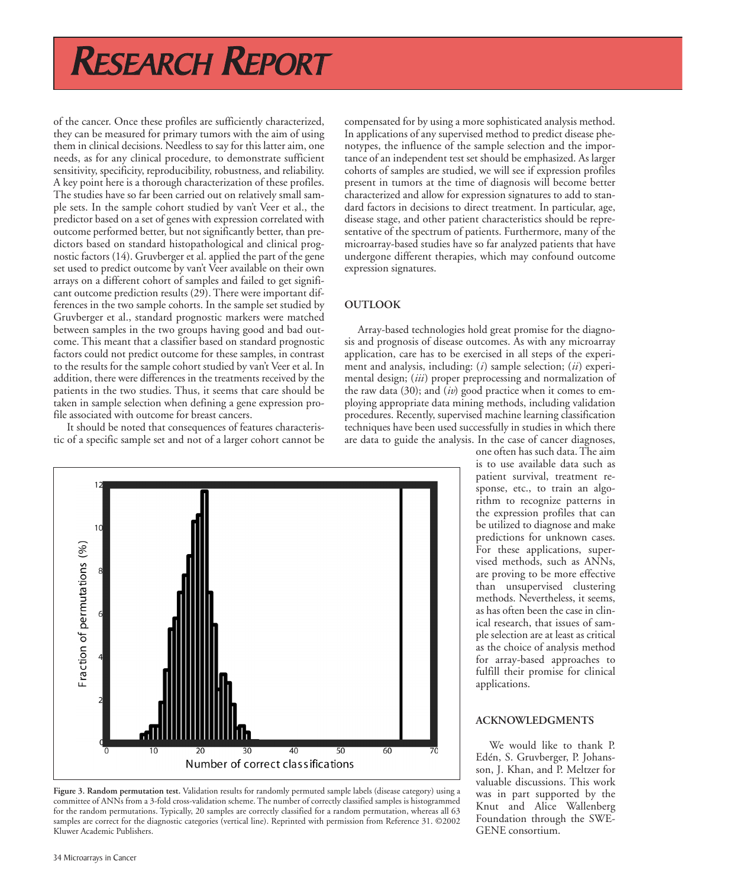# RESEARCH REPORT

of the cancer. Once these profiles are sufficiently characterized, they can be measured for primary tumors with the aim of using them in clinical decisions. Needless to say for this latter aim, one needs, as for any clinical procedure, to demonstrate sufficient sensitivity, specificity, reproducibility, robustness, and reliability. A key point here is a thorough characterization of these profiles. The studies have so far been carried out on relatively small sample sets. In the sample cohort studied by van't Veer et al., the predictor based on a set of genes with expression correlated with outcome performed better, but not significantly better, than predictors based on standard histopathological and clinical prognostic factors (14). Gruvberger et al. applied the part of the gene set used to predict outcome by van't Veer available on their own arrays on a different cohort of samples and failed to get significant outcome prediction results (29). There were important differences in the two sample cohorts. In the sample set studied by Gruvberger et al., standard prognostic markers were matched between samples in the two groups having good and bad outcome. This meant that a classifier based on standard prognostic factors could not predict outcome for these samples, in contrast to the results for the sample cohort studied by van't Veer et al. In addition, there were differences in the treatments received by the patients in the two studies. Thus, it seems that care should be taken in sample selection when defining a gene expression profile associated with outcome for breast cancers.

It should be noted that consequences of features characteristic of a specific sample set and not of a larger cohort cannot be compensated for by using a more sophisticated analysis method. In applications of any supervised method to predict disease phenotypes, the influence of the sample selection and the importance of an independent test set should be emphasized. As larger cohorts of samples are studied, we will see if expression profiles present in tumors at the time of diagnosis will become better characterized and allow for expression signatures to add to standard factors in decisions to direct treatment. In particular, age, disease stage, and other patient characteristics should be representative of the spectrum of patients. Furthermore, many of the microarray-based studies have so far analyzed patients that have undergone different therapies, which may confound outcome expression signatures.

### **OUTLOOK**

Array-based technologies hold great promise for the diagnosis and prognosis of disease outcomes. As with any microarray application, care has to be exercised in all steps of the experiment and analysis, including: (*i*) sample selection; (*ii*) experimental design; (*iii*) proper preprocessing and normalization of the raw data (30); and (*iv*) good practice when it comes to employing appropriate data mining methods, including validation procedures. Recently, supervised machine learning classification techniques have been used successfully in studies in which there are data to guide the analysis. In the case of cancer diagnoses,

> one often has such data. The aim is to use available data such as patient survival, treatment response, etc., to train an algorithm to recognize patterns in the expression profiles that can be utilized to diagnose and make predictions for unknown cases. For these applications, supervised methods, such as ANNs, are proving to be more effective than unsupervised clustering methods. Nevertheless, it seems, as has often been the case in clinical research, that issues of sample selection are at least as critical as the choice of analysis method for array-based approaches to fulfill their promise for clinical applications.

### **ACKNOWLEDGMENTS**

We would like to thank P. Edén, S. Gruvberger, P. Johansson, J. Khan, and P. Meltzer for valuable discussions. This work was in part supported by the Knut and Alice Wallenberg Foundation through the SWE-GENE consortium.



**Figure 3. Random permutation test.** Validation results for randomly permuted sample labels (disease category) using a committee of ANNs from a 3-fold cross-validation scheme. The number of correctly classified samples is histogrammed for the random permutations. Typically, 20 samples are correctly classified for a random permutation, whereas all 63 samples are correct for the diagnostic categories (vertical line). Reprinted with permission from Reference 31. ©2002 Kluwer Academic Publishers.